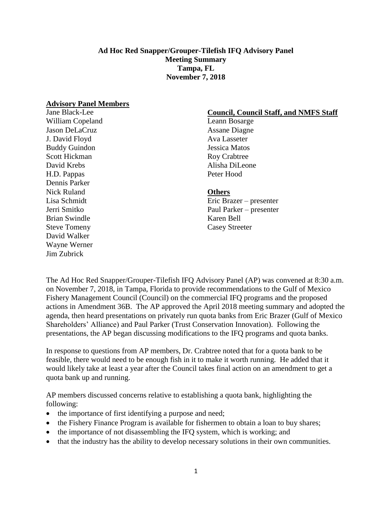### **Ad Hoc Red Snapper/Grouper-Tilefish IFQ Advisory Panel Meeting Summary Tampa, FL November 7, 2018**

#### **Advisory Panel Members**

Jane Black-Lee William Copeland Jason DeLaCruz J. David Floyd Buddy Guindon Scott Hickman David Krebs H.D. Pappas Dennis Parker Nick Ruland Lisa Schmidt Jerri Smitko Brian Swindle Steve Tomeny David Walker Wayne Werner Jim Zubrick

#### **Council, Council Staff, and NMFS Staff**

Leann Bosarge Assane Diagne Ava Lasseter Jessica Matos Roy Crabtree Alisha DiLeone Peter Hood

#### **Others**

Eric Brazer – presenter Paul Parker – presenter Karen Bell Casey Streeter

The Ad Hoc Red Snapper/Grouper-Tilefish IFQ Advisory Panel (AP) was convened at 8:30 a.m. on November 7, 2018, in Tampa, Florida to provide recommendations to the Gulf of Mexico Fishery Management Council (Council) on the commercial IFQ programs and the proposed actions in Amendment 36B. The AP approved the April 2018 meeting summary and adopted the agenda, then heard presentations on privately run quota banks from Eric Brazer (Gulf of Mexico Shareholders' Alliance) and Paul Parker (Trust Conservation Innovation). Following the presentations, the AP began discussing modifications to the IFQ programs and quota banks.

In response to questions from AP members, Dr. Crabtree noted that for a quota bank to be feasible, there would need to be enough fish in it to make it worth running. He added that it would likely take at least a year after the Council takes final action on an amendment to get a quota bank up and running.

AP members discussed concerns relative to establishing a quota bank, highlighting the following:

- the importance of first identifying a purpose and need;
- the Fishery Finance Program is available for fishermen to obtain a loan to buy shares;
- the importance of not disassembling the IFQ system, which is working; and
- that the industry has the ability to develop necessary solutions in their own communities.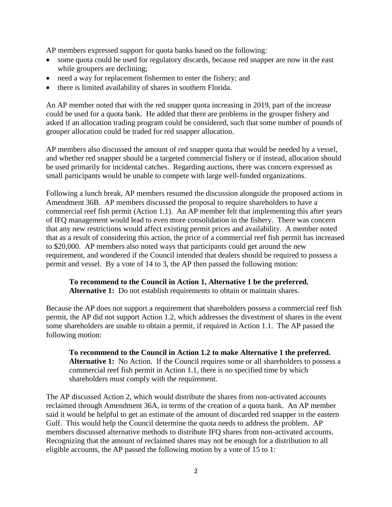AP members expressed support for quota banks based on the following:

- some quota could be used for regulatory discards, because red snapper are now in the east while groupers are declining;
- need a way for replacement fishermen to enter the fishery; and
- there is limited availability of shares in southern Florida.

An AP member noted that with the red snapper quota increasing in 2019, part of the increase could be used for a quota bank. He added that there are problems in the grouper fishery and asked if an allocation trading program could be considered, such that some number of pounds of grouper allocation could be traded for red snapper allocation.

AP members also discussed the amount of red snapper quota that would be needed by a vessel, and whether red snapper should be a targeted commercial fishery or if instead, allocation should be used primarily for incidental catches. Regarding auctions, there was concern expressed as small participants would be unable to compete with large well-funded organizations.

Following a lunch break, AP members resumed the discussion alongside the proposed actions in Amendment 36B. AP members discussed the proposal to require shareholders to have a commercial reef fish permit (Action 1.1). An AP member felt that implementing this after years of IFQ management would lead to even more consolidation in the fishery. There was concern that any new restrictions would affect existing permit prices and availability. A member noted that as a result of considering this action, the price of a commercial reef fish permit has increased to \$20,000. AP members also noted ways that participants could get around the new requirement, and wondered if the Council intended that dealers should be required to possess a permit and vessel. By a vote of 14 to 3, the AP then passed the following motion:

# **To recommend to the Council in Action 1, Alternative 1 be the preferred.**

**Alternative 1:** Do not establish requirements to obtain or maintain shares.

Because the AP does not support a requirement that shareholders possess a commercial reef fish permit, the AP did not support Action 1.2, which addresses the divestment of shares in the event some shareholders are unable to obtain a permit, if required in Action 1.1. The AP passed the following motion:

**To recommend to the Council in Action 1.2 to make Alternative 1 the preferred. Alternative 1:** No Action. If the Council requires some or all shareholders to possess a commercial reef fish permit in Action 1.1, there is no specified time by which shareholders must comply with the requirement.

The AP discussed Action 2, which would distribute the shares from non-activated accounts reclaimed through Amendment 36A, in terms of the creation of a quota bank. An AP member said it would be helpful to get an estimate of the amount of discarded red snapper in the eastern Gulf. This would help the Council determine the quota needs to address the problem. AP members discussed alternative methods to distribute IFQ shares from non-activated accounts. Recognizing that the amount of reclaimed shares may not be enough for a distribution to all eligible accounts, the AP passed the following motion by a vote of 15 to 1: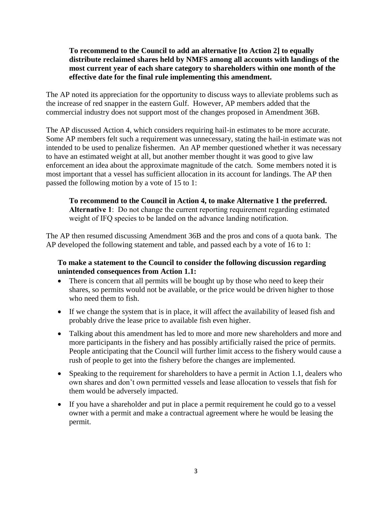## **To recommend to the Council to add an alternative [to Action 2] to equally distribute reclaimed shares held by NMFS among all accounts with landings of the most current year of each share category to shareholders within one month of the effective date for the final rule implementing this amendment.**

The AP noted its appreciation for the opportunity to discuss ways to alleviate problems such as the increase of red snapper in the eastern Gulf. However, AP members added that the commercial industry does not support most of the changes proposed in Amendment 36B.

The AP discussed Action 4, which considers requiring hail-in estimates to be more accurate. Some AP members felt such a requirement was unnecessary, stating the hail-in estimate was not intended to be used to penalize fishermen. An AP member questioned whether it was necessary to have an estimated weight at all, but another member thought it was good to give law enforcement an idea about the approximate magnitude of the catch. Some members noted it is most important that a vessel has sufficient allocation in its account for landings. The AP then passed the following motion by a vote of 15 to 1:

**To recommend to the Council in Action 4, to make Alternative 1 the preferred. Alternative 1**: Do not change the current reporting requirement regarding estimated weight of IFQ species to be landed on the advance landing notification.

The AP then resumed discussing Amendment 36B and the pros and cons of a quota bank. The AP developed the following statement and table, and passed each by a vote of 16 to 1:

# **To make a statement to the Council to consider the following discussion regarding unintended consequences from Action 1.1:**

- There is concern that all permits will be bought up by those who need to keep their shares, so permits would not be available, or the price would be driven higher to those who need them to fish.
- If we change the system that is in place, it will affect the availability of leased fish and probably drive the lease price to available fish even higher.
- Talking about this amendment has led to more and more new shareholders and more and more participants in the fishery and has possibly artificially raised the price of permits. People anticipating that the Council will further limit access to the fishery would cause a rush of people to get into the fishery before the changes are implemented.
- Speaking to the requirement for shareholders to have a permit in Action 1.1, dealers who own shares and don't own permitted vessels and lease allocation to vessels that fish for them would be adversely impacted.
- If you have a shareholder and put in place a permit requirement he could go to a vessel owner with a permit and make a contractual agreement where he would be leasing the permit.